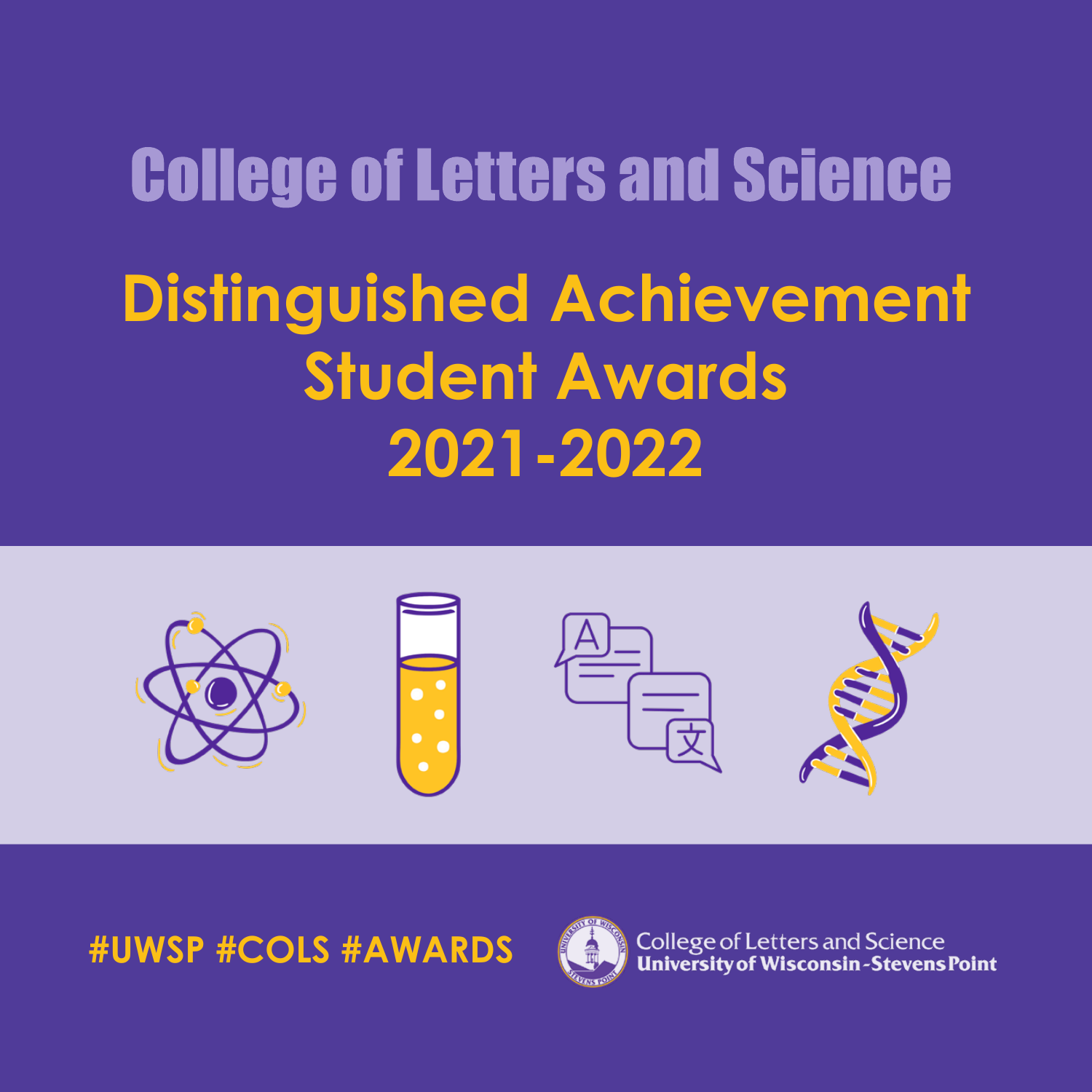#### College of Letters and Science

## **Distinguished Achievement Student Awards 2021-2022**



**#UWSP #COLS #AWARDS**



**College of Letters and Science** University of Wisconsin-Stevens Point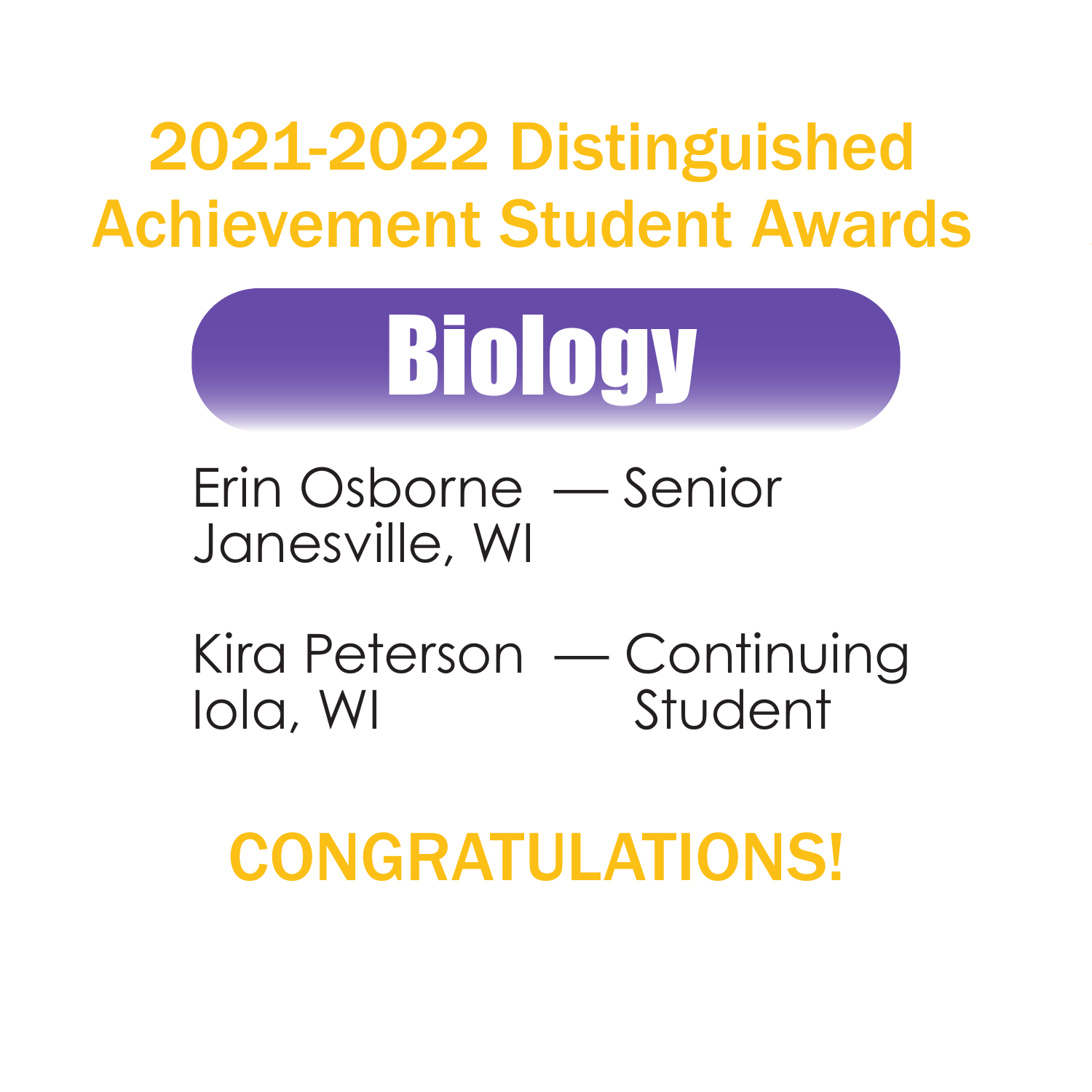

Erin Osborne — Senior Janesville, WI

Kira Peterson — Continuing Iola, WI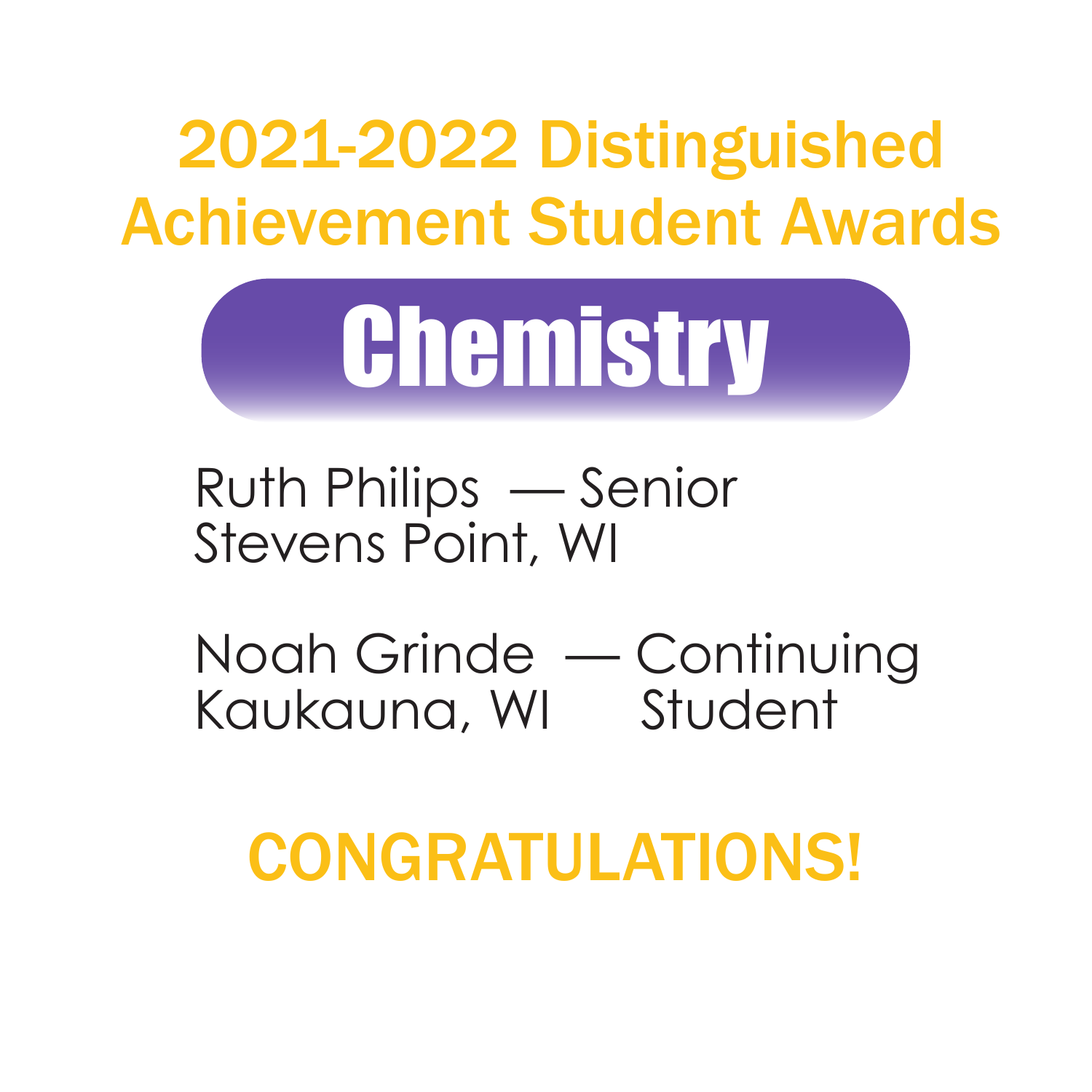

Ruth Philips — Senior Stevens Point, WI

Noah Grinde — Continuing Kaukauna, WI Student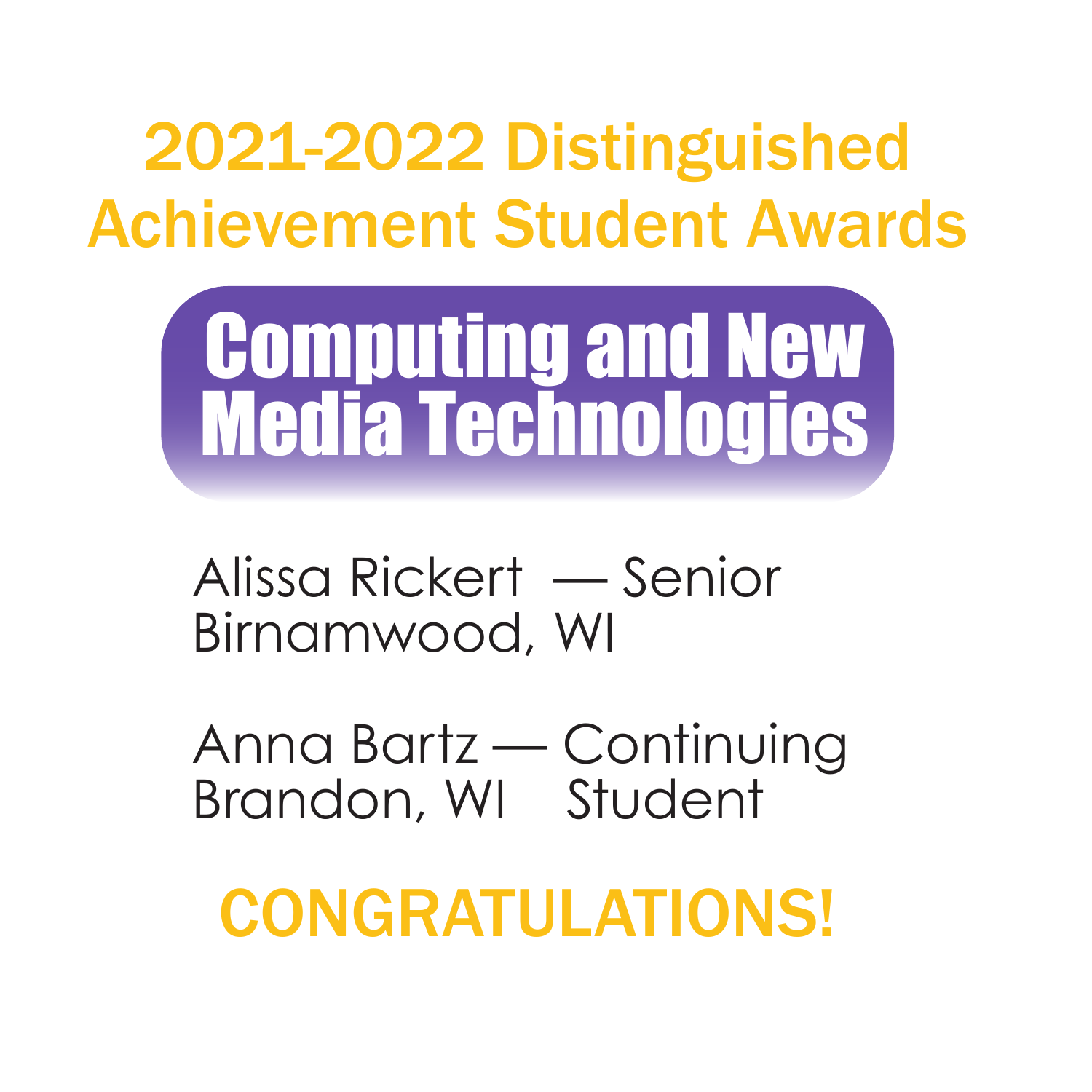

Alissa Rickert — Senior Birnamwood, WI

Anna Bartz — Continuing Brandon, WI Student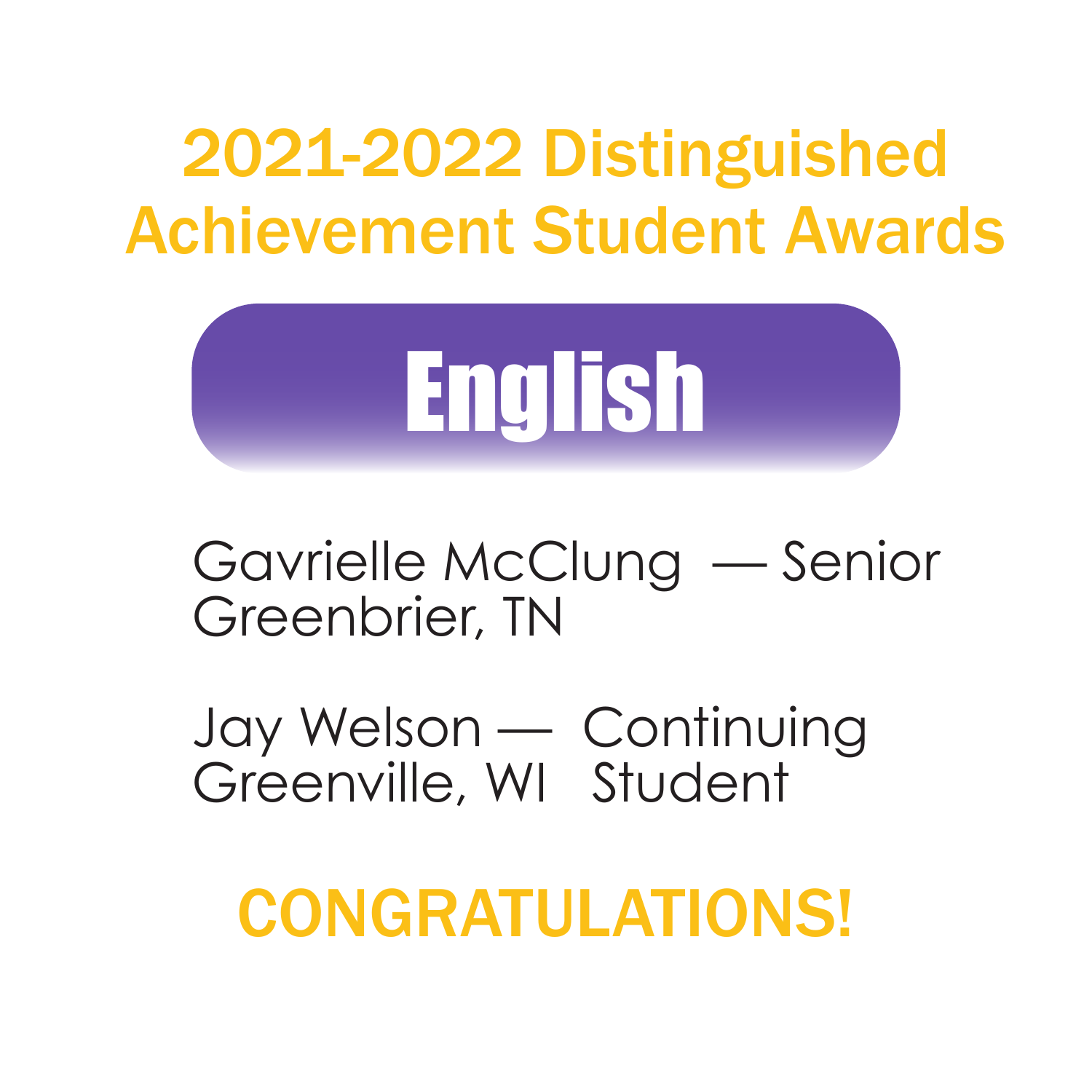

Gavrielle McClung — Senior Greenbrier, TN

Jay Welson — Continuing Greenville, WI Student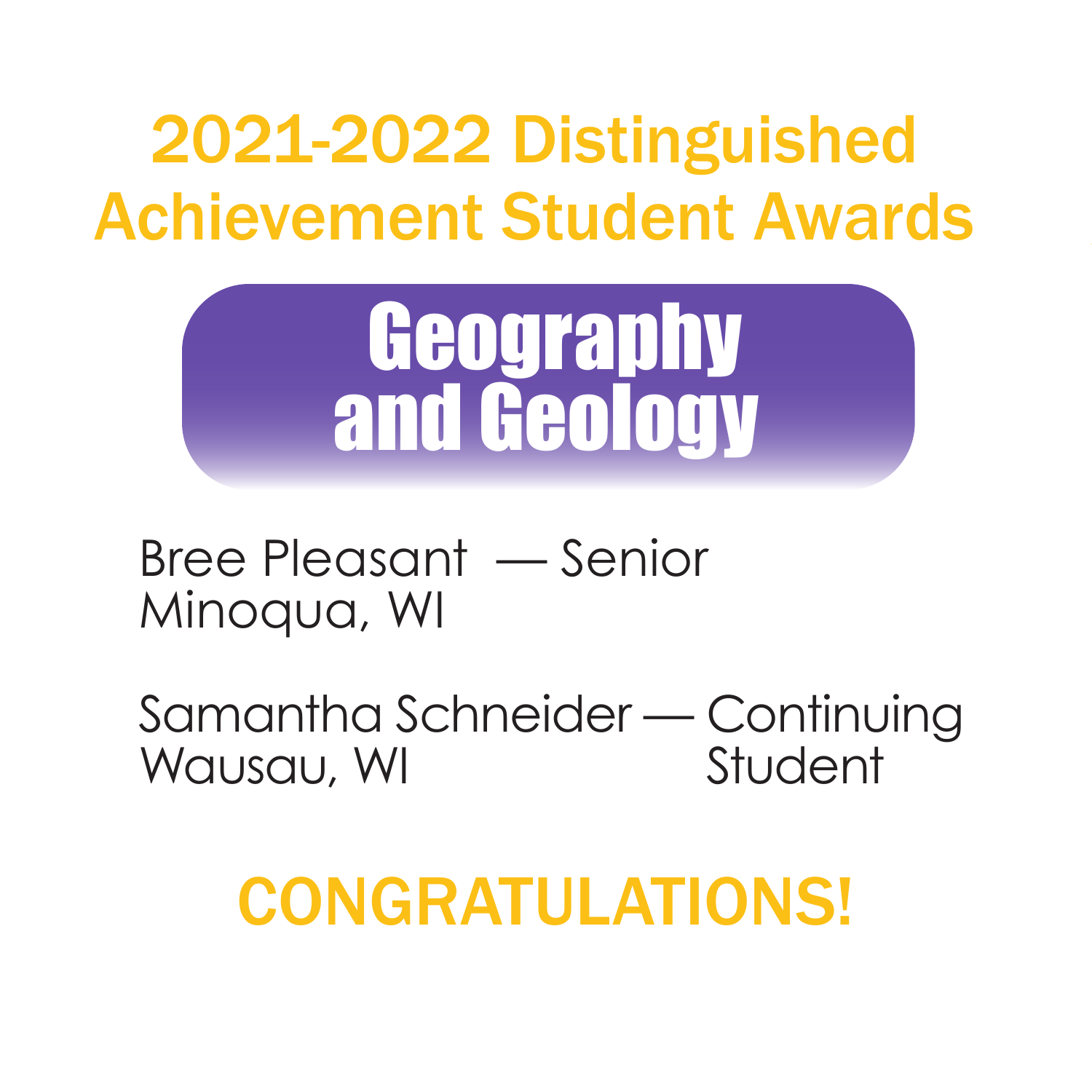

Bree Pleasant — Senior Minoqua, WI

Samantha Schneider — Continuing Wausau, WI Student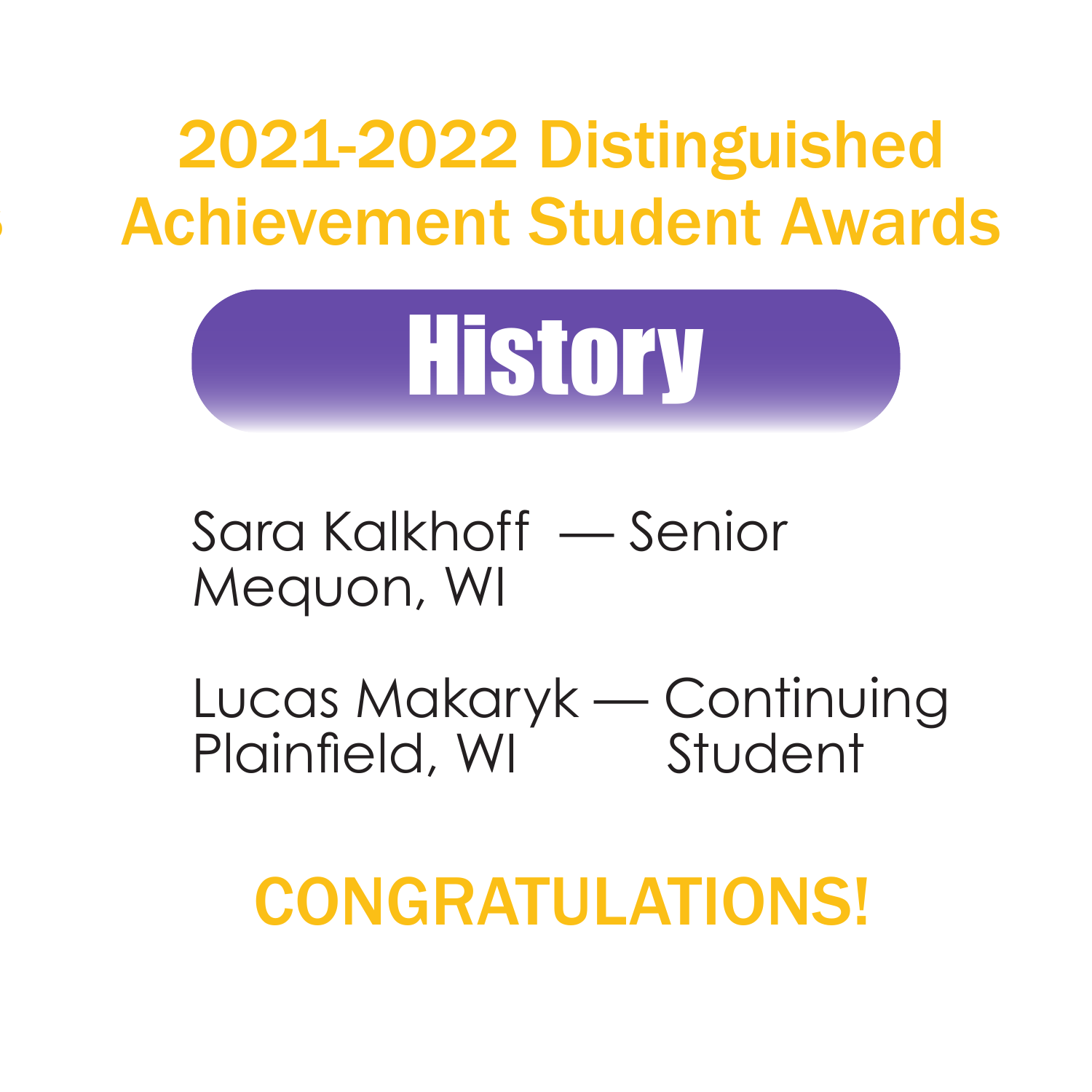

Sara Kalkhoff — Senior Mequon, WI

Lucas Makaryk — Continuing Plainfield, WI Student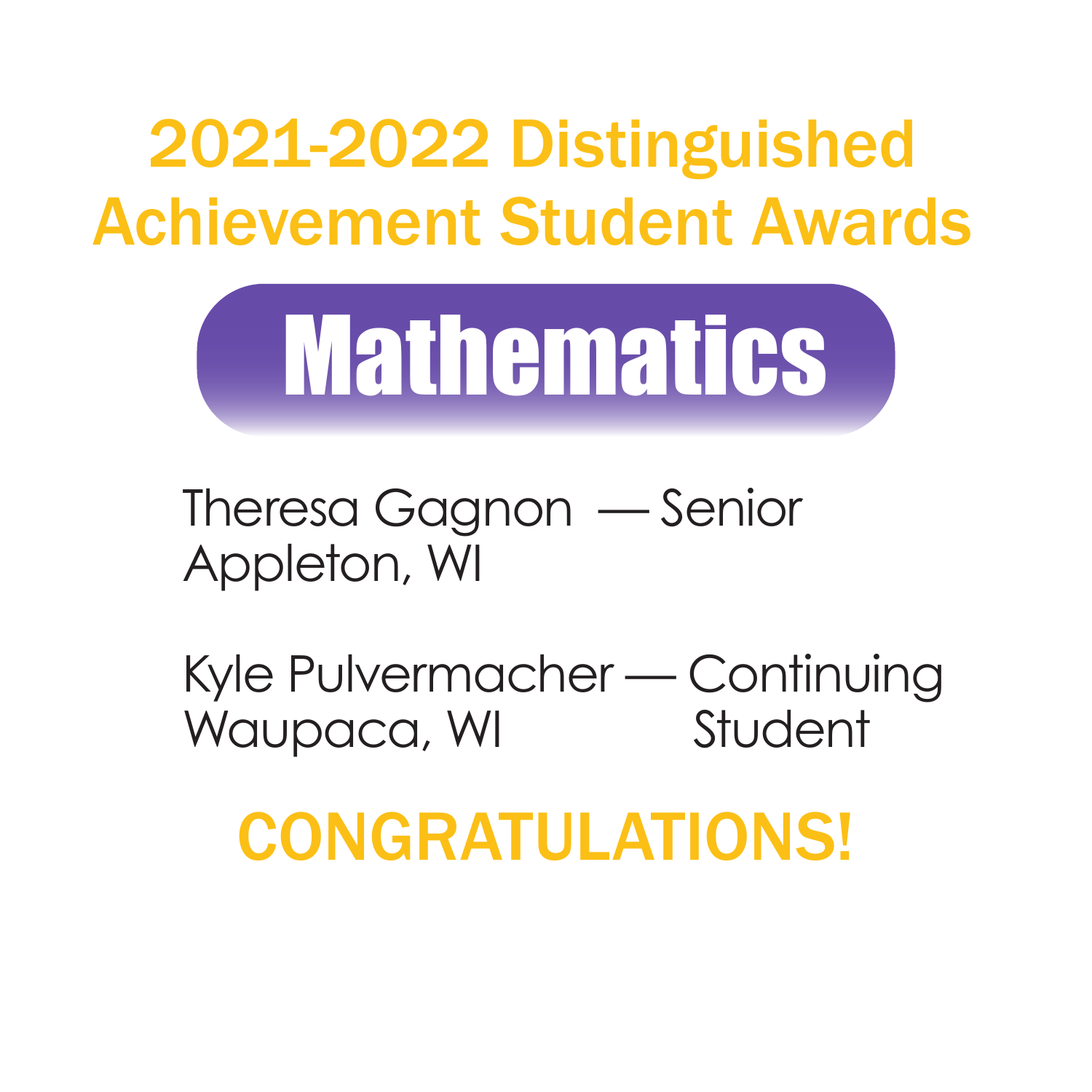

Theresa Gagnon — Senior Appleton, WI

Kyle Pulvermacher — Continuing Waupaca, WI Student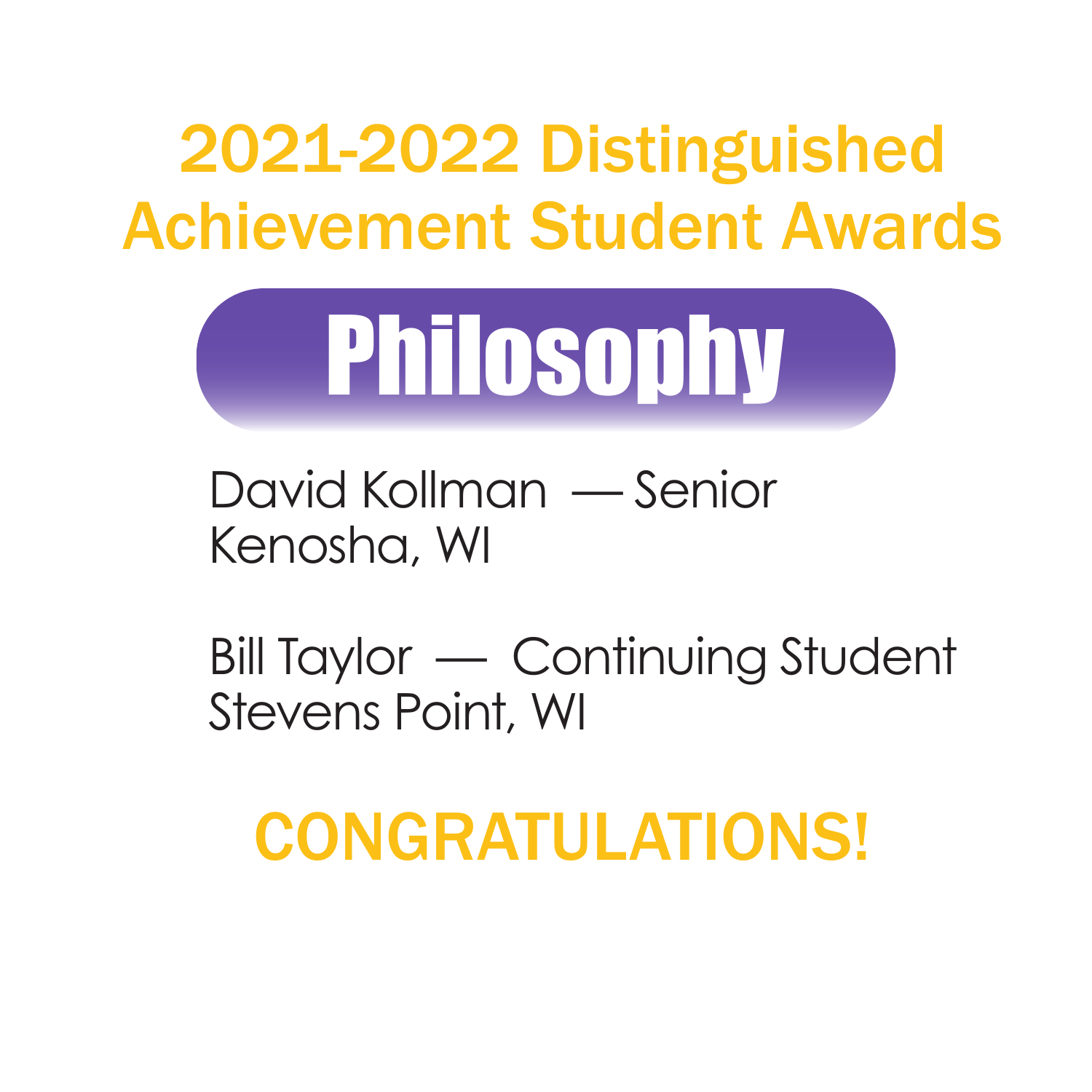

David Kollman — Senior Kenosha, WI

Achievement Student Awards

Bill Taylor — Continuing Student Stevens Point, WI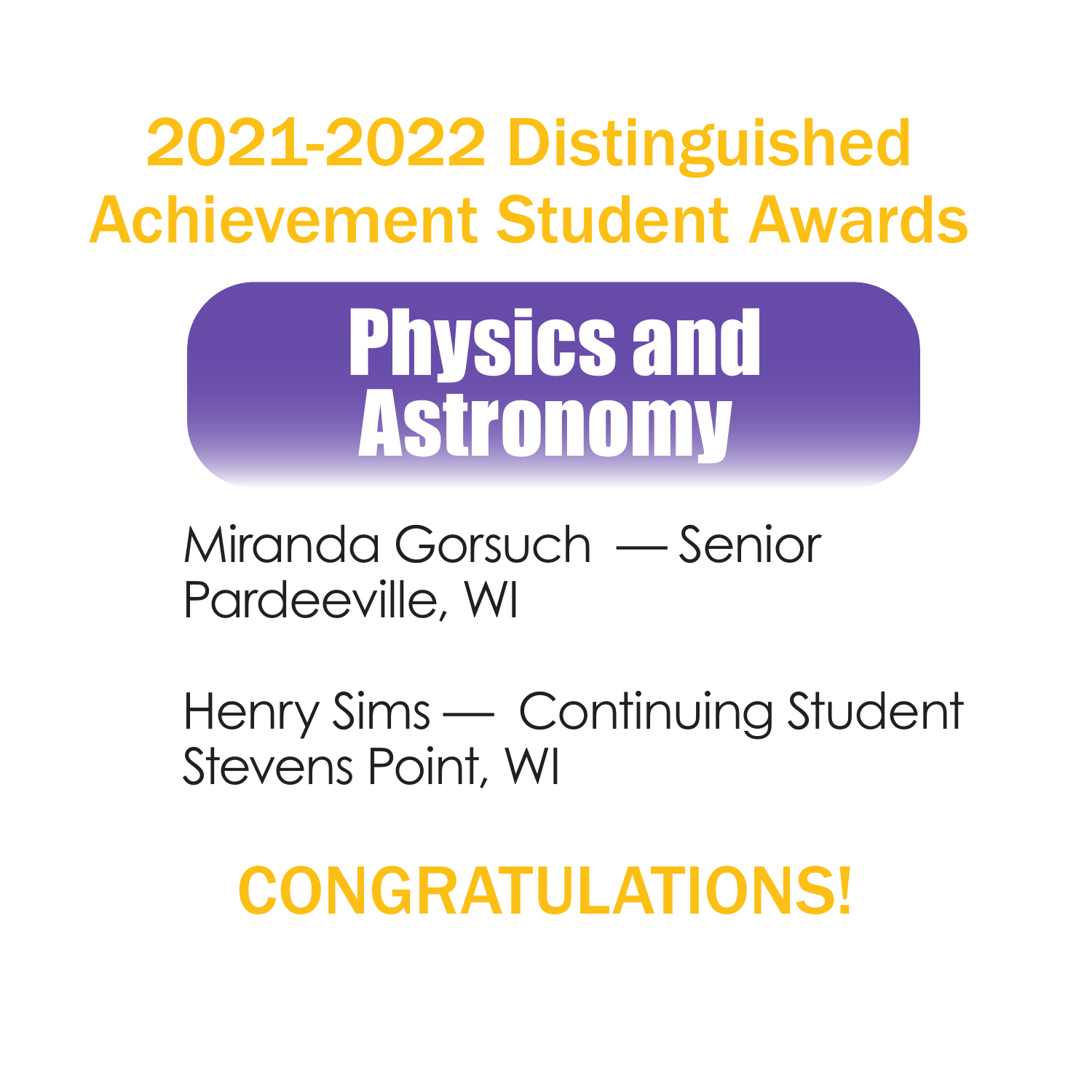

Miranda Gorsuch — Senior Pardeeville, WI

Henry Sims — Continuing Student Stevens Point, WI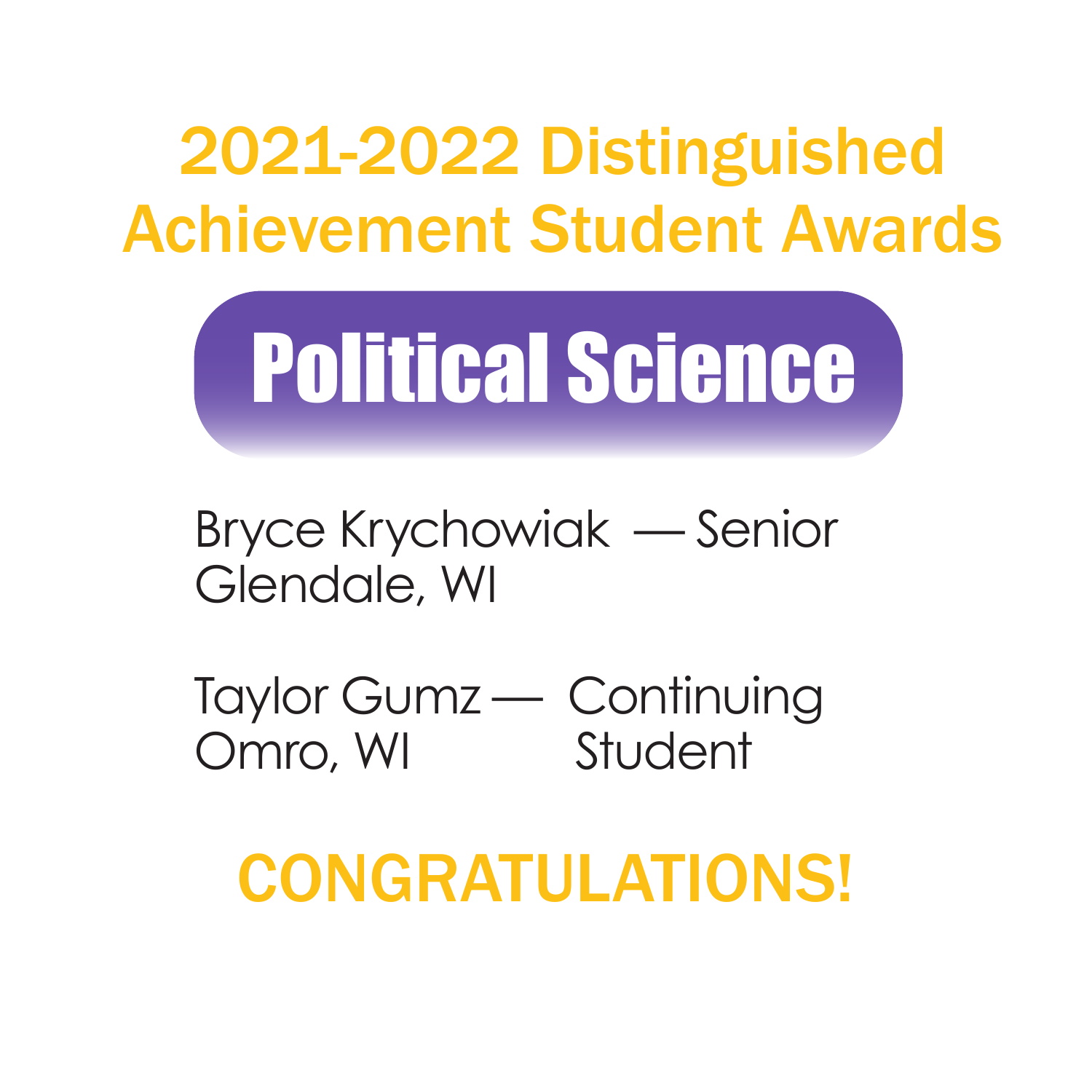

Bryce Krychowiak — Senior Glendale, WI

Taylor Gumz — Continuing Omro, WI<br>Student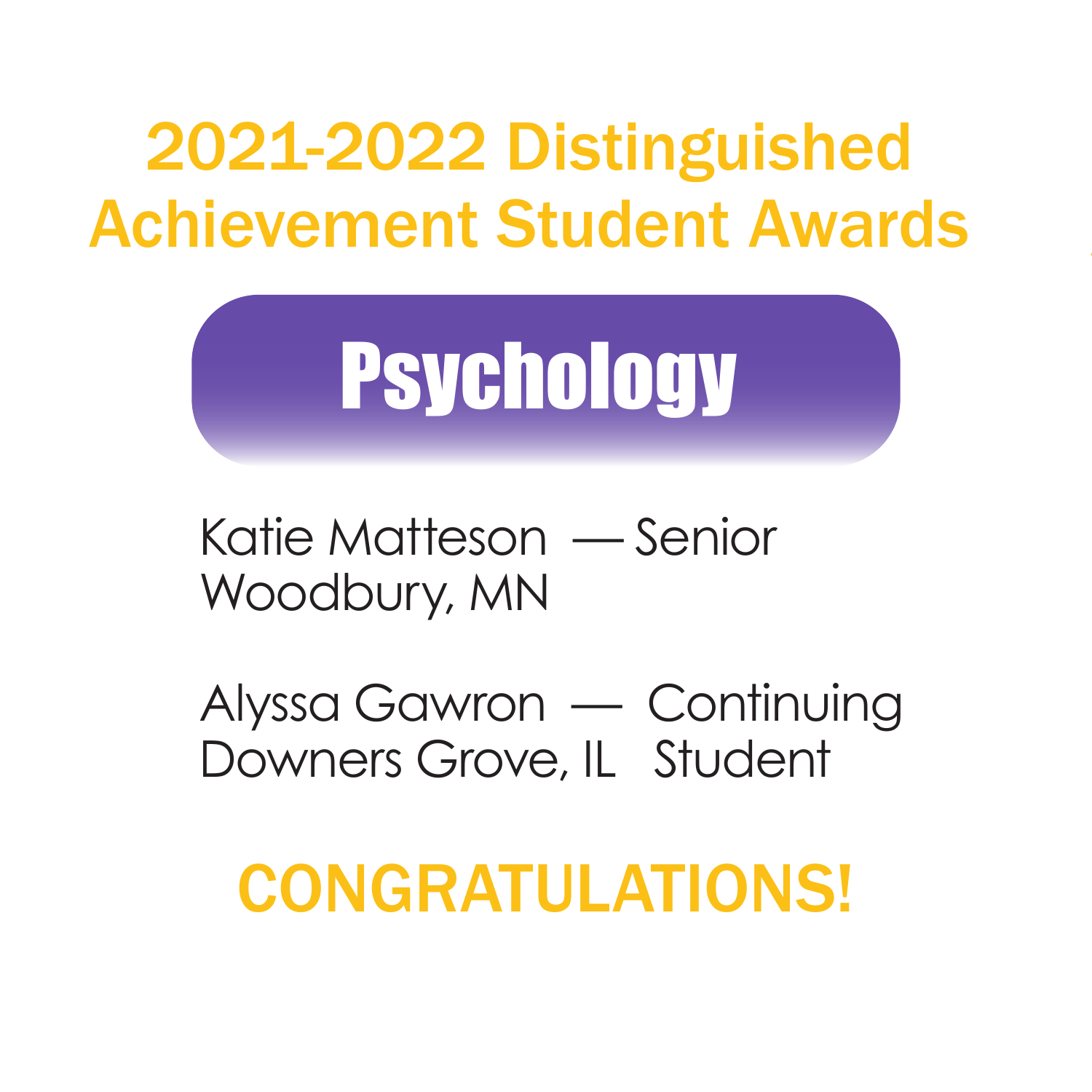

Katie Matteson — Senior Woodbury, MN

Alyssa Gawron — Continuing Downers Grove, IL Student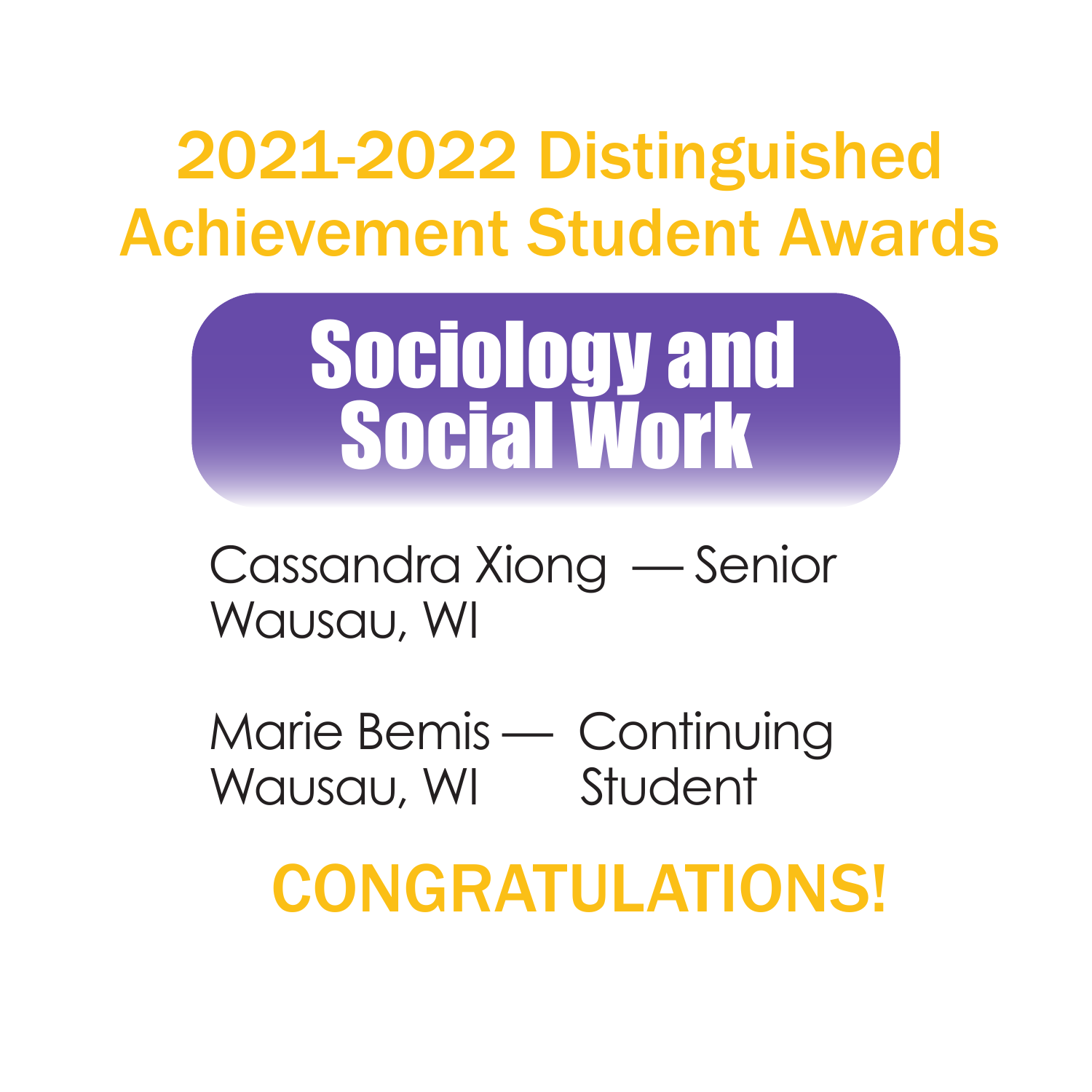

Cassandra Xiong — Senior Wausau, WI

Marie Bemis — Continuing Wausau, WI Student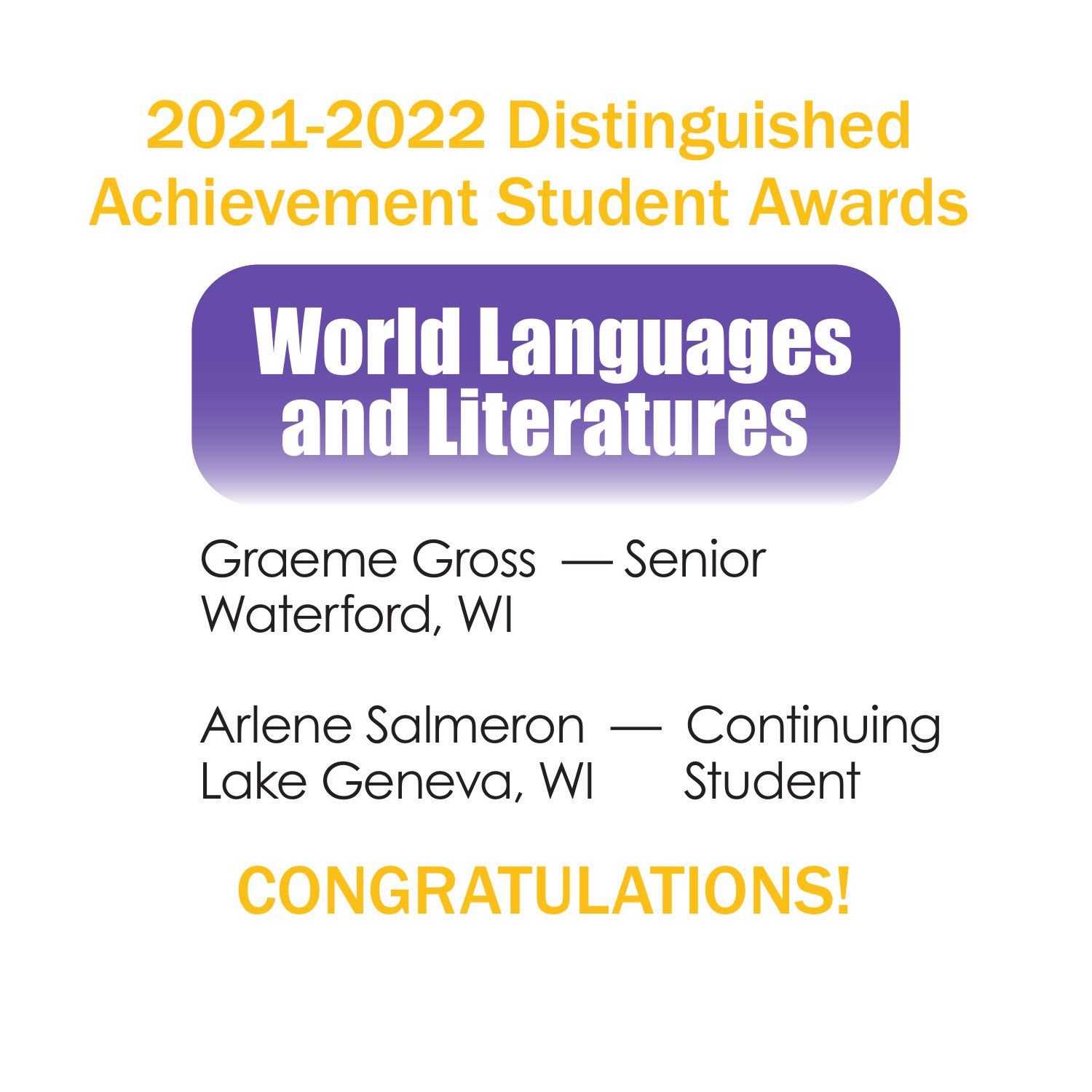

Graeme Gross — Senior Waterford, WI

Arlene Salmeron — Continuing Lake Geneva, WI Student